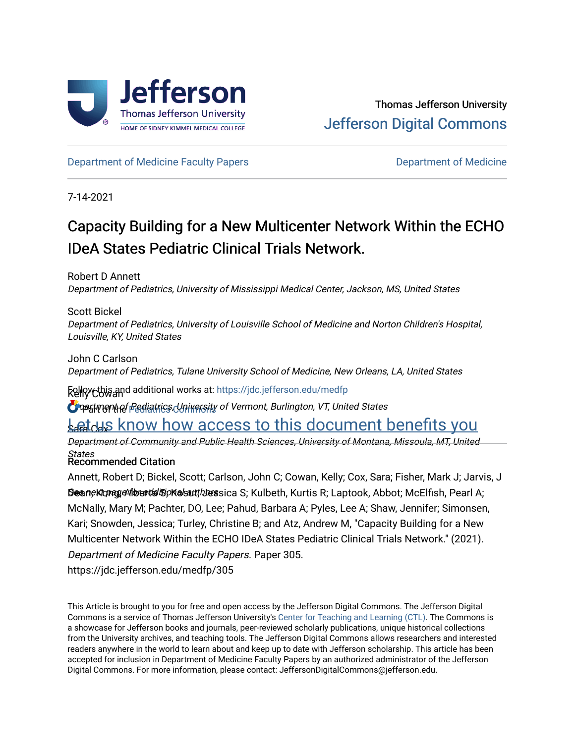

[Department of Medicine Faculty Papers](https://jdc.jefferson.edu/medfp) **Department of Medicine** 

7-14-2021

# Capacity Building for a New Multicenter Network Within the ECHO IDeA States Pediatric Clinical Trials Network.

Robert D Annett Department of Pediatrics, University of Mississippi Medical Center, Jackson, MS, United States

Scott Bickel Department of Pediatrics, University of Louisville School of Medicine and Norton Children's Hospital, Louisville, KY, United States

John C Carlson Department of Pediatrics, Tulane University School of Medicine, New Orleans, LA, United States

**Follry Cowand additional works at: https://jdc.jefferson.edu/medfp** 

**O** part ment of Pediatrics Cuniversity of Vermont, Burlington, VT, United States

# **Let us know how access to this document benefits you**

Department of Community and Public Health Sciences, University of Montana, Missoula, MT, United

*States*<br>Recommended Citation

Sean; Kong, Alberta By Kolsut, I bersica S; Kulbeth, Kurtis R; Laptook, Abbot; McElfish, Pearl A; Annett, Robert D; Bickel, Scott; Carlson, John C; Cowan, Kelly; Cox, Sara; Fisher, Mark J; Jarvis, J McNally, Mary M; Pachter, DO, Lee; Pahud, Barbara A; Pyles, Lee A; Shaw, Jennifer; Simonsen, Kari; Snowden, Jessica; Turley, Christine B; and Atz, Andrew M, "Capacity Building for a New Multicenter Network Within the ECHO IDeA States Pediatric Clinical Trials Network." (2021). Department of Medicine Faculty Papers. Paper 305.

https://jdc.jefferson.edu/medfp/305

This Article is brought to you for free and open access by the Jefferson Digital Commons. The Jefferson Digital Commons is a service of Thomas Jefferson University's [Center for Teaching and Learning \(CTL\)](http://www.jefferson.edu/university/teaching-learning.html/). The Commons is a showcase for Jefferson books and journals, peer-reviewed scholarly publications, unique historical collections from the University archives, and teaching tools. The Jefferson Digital Commons allows researchers and interested readers anywhere in the world to learn about and keep up to date with Jefferson scholarship. This article has been accepted for inclusion in Department of Medicine Faculty Papers by an authorized administrator of the Jefferson Digital Commons. For more information, please contact: JeffersonDigitalCommons@jefferson.edu.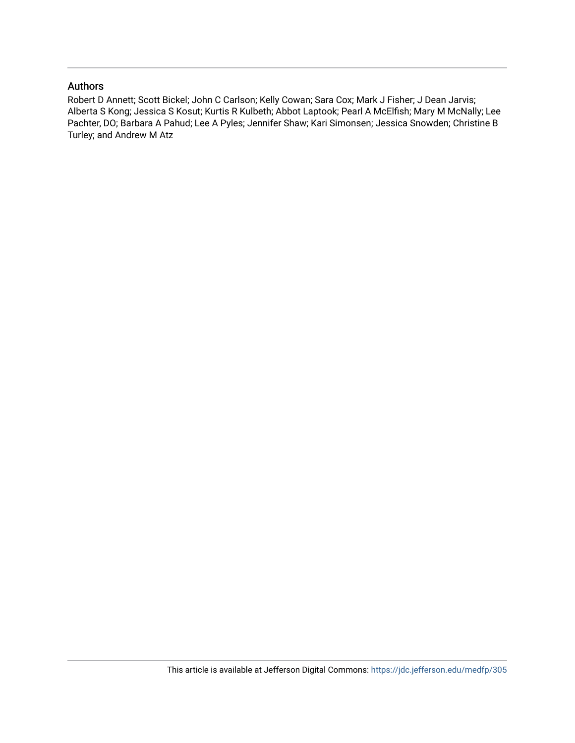#### Authors

Robert D Annett; Scott Bickel; John C Carlson; Kelly Cowan; Sara Cox; Mark J Fisher; J Dean Jarvis; Alberta S Kong; Jessica S Kosut; Kurtis R Kulbeth; Abbot Laptook; Pearl A McElfish; Mary M McNally; Lee Pachter, DO; Barbara A Pahud; Lee A Pyles; Jennifer Shaw; Kari Simonsen; Jessica Snowden; Christine B Turley; and Andrew M Atz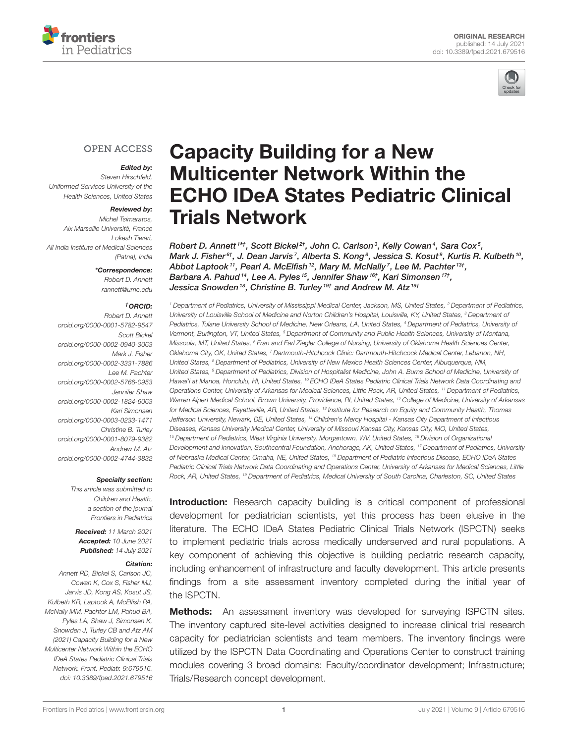



### **OPEN ACCESS**

#### Edited by:

Steven Hirschfeld, Uniformed Services University of the Health Sciences, United States

#### Reviewed by:

Michel Tsimaratos, Aix Marseille Université, France Lokesh Tiwari, All India Institute of Medical Sciences (Patna), India

\*Correspondence:

Robert D. Annett [rannett@umc.edu](mailto:rannett@umc.edu)

#### †ORCID:

Robert D. Annett [orcid.org/0000-0001-5782-9547](https://orcid.org/0000-0001-5782-9547) Scott Bickel [orcid.org/0000-0002-0940-3063](https://orcid.org/0000-0002-0940-3063) Mark J. Fisher [orcid.org/0000-0002-3331-7886](https://orcid.org/0000-0002-3331-7886) Lee M. Pachter [orcid.org/0000-0002-5766-0953](https://orcid.org/0000-0002-5766-0953) Jennifer Shaw [orcid.org/0000-0002-1824-6063](https://orcid.org/0000-0002-1824-6063) Kari Simonsen [orcid.org/0000-0003-0233-1471](https://orcid.org/0000-0003-0233-1471) Christine B. Turley [orcid.org/0000-0001-8079-9382](https://orcid.org/0000-0001-8079-9382) Andrew M. Atz [orcid.org/0000-0002-4744-3832](https://orcid.org/0000-0002-4744-3832)

#### Specialty section:

This article was submitted to Children and Health, a section of the journal Frontiers in Pediatrics

Received: 11 March 2021 Accepted: 10 June 2021 Published: 14 July 2021

#### Citation:

Annett RD, Bickel S, Carlson JC, Cowan K, Cox S, Fisher MJ, Jarvis JD, Kong AS, Kosut JS, Kulbeth KR, Laptook A, McElfish PA, McNally MM, Pachter LM, Pahud BA, Pyles LA, Shaw J, Simonsen K, Snowden J, Turley CB and Atz AM (2021) Capacity Building for a New Multicenter Network Within the ECHO IDeA States Pediatric Clinical Trials Network. Front. Pediatr. 9:679516. doi: [10.3389/fped.2021.679516](https://doi.org/10.3389/fped.2021.679516)

# Capacity Building for a New Multicenter Network Within the [ECHO IDeA States Pediatric Clinical](https://www.frontiersin.org/articles/10.3389/fped.2021.679516/full) Trials Network

Robert D. Annett <sup>1\*†</sup>, Scott Bickel 2†, John C. Carlson 3, Kelly Cowan 4, Sara Cox 5, Mark J. Fisher $^{\rm 6 \it t}$ , J. Dean Jarvis  $^7$ , Alberta S. Kong  $^8$ , Jessica S. Kosut  $^9$ , Kurtis R. Kulbeth  $^{10}$ , Abbot Laptook<sup>11</sup>, Pearl A. McElfish<sup>12</sup>, Mary M. McNally<sup>7</sup>, Lee M. Pachter<sup>13†</sup>, Barbara A. Pahud <sup>14</sup>, Lee A. Pyles <sup>15</sup>, Jennifer Shaw <sup>16†</sup>, Kari Simonsen <sup>17†</sup>, Jessica Snowden<sup>18</sup>, Christine B. Turley<sup>19†</sup> and Andrew M. Atz<sup>19†</sup>

<sup>1</sup> Department of Pediatrics, University of Mississippi Medical Center, Jackson, MS, United States, <sup>2</sup> Department of Pediatrics, University of Louisville School of Medicine and Norton Children's Hospital, Louisville, KY, United States, <sup>3</sup> Department of Pediatrics, Tulane University School of Medicine, New Orleans, LA, United States, <sup>4</sup> Department of Pediatrics, University of Vermont, Burlington, VT, United States, <sup>5</sup> Department of Community and Public Health Sciences, University of Montana, Missoula, MT, United States, <sup>6</sup> Fran and Earl Ziegler College of Nursing, University of Oklahoma Health Sciences Center, Oklahoma City, OK, United States, 7 Dartmouth-Hitchcock Clinic: Dartmouth-Hitchcock Medical Center, Lebanon, NH, United States, <sup>8</sup> Department of Pediatrics, University of New Mexico Health Sciences Center, Albuquerque, NM, United States, <sup>9</sup> Department of Pediatrics, Division of Hospitalist Medicine, John A. Burns School of Medicine, University of Hawai'i at Manoa, Honolulu, HI, United States, <sup>10</sup> ECHO IDeA States Pediatric Clinical Trials Network Data Coordinating and Operations Center, University of Arkansas for Medical Sciences, Little Rock, AR, United States, <sup>11</sup> Department of Pediatrics, Warren Alpert Medical School, Brown University, Providence, RI, United States, <sup>12</sup> College of Medicine, University of Arkansas for Medical Sciences, Fayetteville, AR, United States, <sup>13</sup> Institute for Research on Equity and Community Health, Thomas Jefferson University, Newark, DE, United States, <sup>14</sup> Children's Mercy Hospital - Kansas City Department of Infectious Diseases, Kansas University Medical Center, University of Missouri Kansas City, Kansas City, MO, United States, <sup>15</sup> Department of Pediatrics, West Virginia University, Morgantown, WV, United States, <sup>16</sup> Division of Organizational Development and Innovation, Southcentral Foundation, Anchorage, AK, United States, <sup>17</sup> Department of Pediatrics, University of Nebraska Medical Center, Omaha, NE, United States, <sup>18</sup> Department of Pediatric Infectious Disease, ECHO IDeA States Pediatric Clinical Trials Network Data Coordinating and Operations Center, University of Arkansas for Medical Sciences, Little Rock, AR, United States, <sup>19</sup> Department of Pediatrics, Medical University of South Carolina, Charleston, SC, United States

**Introduction:** Research capacity building is a critical component of professional development for pediatrician scientists, yet this process has been elusive in the literature. The ECHO IDeA States Pediatric Clinical Trials Network (ISPCTN) seeks to implement pediatric trials across medically underserved and rural populations. A key component of achieving this objective is building pediatric research capacity, including enhancement of infrastructure and faculty development. This article presents findings from a site assessment inventory completed during the initial year of the ISPCTN.

**Methods:** An assessment inventory was developed for surveying ISPCTN sites. The inventory captured site-level activities designed to increase clinical trial research capacity for pediatrician scientists and team members. The inventory findings were utilized by the ISPCTN Data Coordinating and Operations Center to construct training modules covering 3 broad domains: Faculty/coordinator development; Infrastructure; Trials/Research concept development.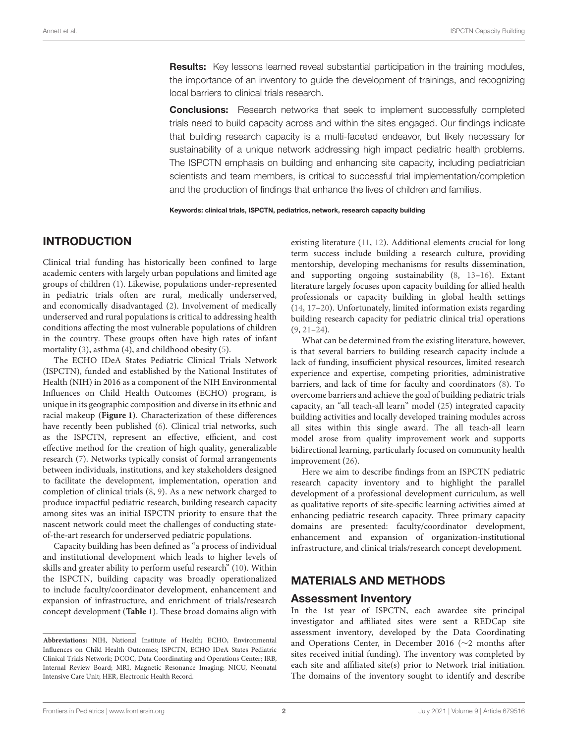**Results:** Key lessons learned reveal substantial participation in the training modules, the importance of an inventory to guide the development of trainings, and recognizing local barriers to clinical trials research.

**Conclusions:** Research networks that seek to implement successfully completed trials need to build capacity across and within the sites engaged. Our findings indicate that building research capacity is a multi-faceted endeavor, but likely necessary for sustainability of a unique network addressing high impact pediatric health problems. The ISPCTN emphasis on building and enhancing site capacity, including pediatrician scientists and team members, is critical to successful trial implementation/completion and the production of findings that enhance the lives of children and families.

Keywords: clinical trials, ISPCTN, pediatrics, network, research capacity building

#### INTRODUCTION

Clinical trial funding has historically been confined to large academic centers with largely urban populations and limited age groups of children [\(1\)](#page-10-0). Likewise, populations under-represented in pediatric trials often are rural, medically underserved, and economically disadvantaged [\(2\)](#page-10-1). Involvement of medically underserved and rural populations is critical to addressing health conditions affecting the most vulnerable populations of children in the country. These groups often have high rates of infant mortality [\(3\)](#page-10-2), asthma [\(4\)](#page-10-3), and childhood obesity [\(5\)](#page-10-4).

The ECHO IDeA States Pediatric Clinical Trials Network (ISPCTN), funded and established by the National Institutes of Health (NIH) in 2016 as a component of the NIH Environmental Influences on Child Health Outcomes (ECHO) program, is unique in its geographic composition and diverse in its ethnic and racial makeup (**[Figure 1](#page-4-0)**). Characterization of these differences have recently been published [\(6\)](#page-10-5). Clinical trial networks, such as the ISPCTN, represent an effective, efficient, and cost effective method for the creation of high quality, generalizable research [\(7\)](#page-10-6). Networks typically consist of formal arrangements between individuals, institutions, and key stakeholders designed to facilitate the development, implementation, operation and completion of clinical trials [\(8,](#page-10-7) [9\)](#page-10-8). As a new network charged to produce impactful pediatric research, building research capacity among sites was an initial ISPCTN priority to ensure that the nascent network could meet the challenges of conducting stateof-the-art research for underserved pediatric populations.

Capacity building has been defined as "a process of individual and institutional development which leads to higher levels of skills and greater ability to perform useful research" [\(10\)](#page-10-9). Within the ISPCTN, building capacity was broadly operationalized to include faculty/coordinator development, enhancement and expansion of infrastructure, and enrichment of trials/research concept development (**[Table 1](#page-5-0)**). These broad domains align with existing literature [\(11,](#page-10-10) [12\)](#page-10-11). Additional elements crucial for long term success include building a research culture, providing mentorship, developing mechanisms for results dissemination, and supporting ongoing sustainability [\(8,](#page-10-7) [13–](#page-10-12)[16\)](#page-10-13). Extant literature largely focuses upon capacity building for allied health professionals or capacity building in global health settings [\(14,](#page-10-14) [17](#page-10-15)[–20\)](#page-10-16). Unfortunately, limited information exists regarding building research capacity for pediatric clinical trial operations [\(9,](#page-10-8) [21](#page-10-17)[–24\)](#page-10-18).

What can be determined from the existing literature, however, is that several barriers to building research capacity include a lack of funding, insufficient physical resources, limited research experience and expertise, competing priorities, administrative barriers, and lack of time for faculty and coordinators [\(8\)](#page-10-7). To overcome barriers and achieve the goal of building pediatric trials capacity, an "all teach-all learn" model [\(25\)](#page-10-19) integrated capacity building activities and locally developed training modules across all sites within this single award. The all teach-all learn model arose from quality improvement work and supports bidirectional learning, particularly focused on community health improvement [\(26\)](#page-10-20).

Here we aim to describe findings from an ISPCTN pediatric research capacity inventory and to highlight the parallel development of a professional development curriculum, as well as qualitative reports of site-specific learning activities aimed at enhancing pediatric research capacity. Three primary capacity domains are presented: faculty/coordinator development, enhancement and expansion of organization-institutional infrastructure, and clinical trials/research concept development.

### MATERIALS AND METHODS

#### Assessment Inventory

In the 1st year of ISPCTN, each awardee site principal investigator and affiliated sites were sent a REDCap site assessment inventory, developed by the Data Coordinating and Operations Center, in December 2016 (∼2 months after sites received initial funding). The inventory was completed by each site and affiliated site(s) prior to Network trial initiation. The domains of the inventory sought to identify and describe

**Abbreviations:** NIH, National Institute of Health; ECHO, Environmental Influences on Child Health Outcomes; ISPCTN, ECHO IDeA States Pediatric Clinical Trials Network; DCOC, Data Coordinating and Operations Center; IRB, Internal Review Board; MRI, Magnetic Resonance Imaging; NICU, Neonatal Intensive Care Unit; HER, Electronic Health Record.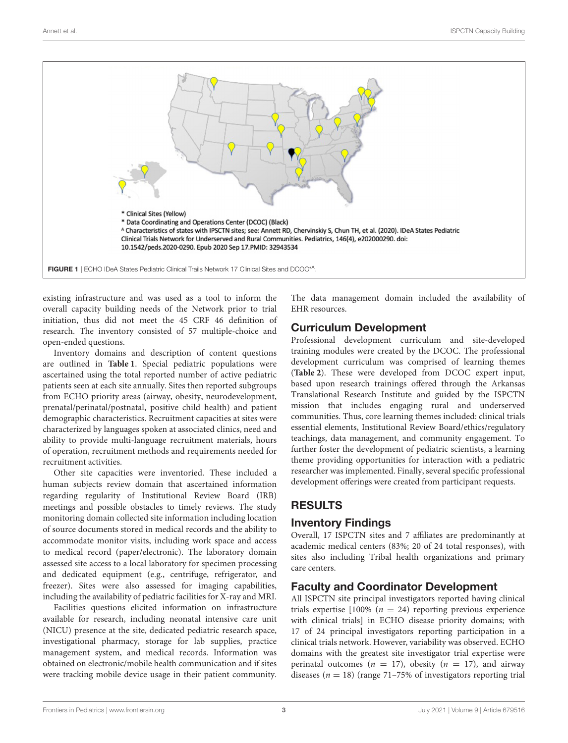

<span id="page-4-0"></span>existing infrastructure and was used as a tool to inform the overall capacity building needs of the Network prior to trial initiation, thus did not meet the 45 CRF 46 definition of research. The inventory consisted of 57 multiple-choice and open-ended questions.

Inventory domains and description of content questions are outlined in **[Table 1](#page-5-0)**. Special pediatric populations were ascertained using the total reported number of active pediatric patients seen at each site annually. Sites then reported subgroups from ECHO priority areas (airway, obesity, neurodevelopment, prenatal/perinatal/postnatal, positive child health) and patient demographic characteristics. Recruitment capacities at sites were characterized by languages spoken at associated clinics, need and ability to provide multi-language recruitment materials, hours of operation, recruitment methods and requirements needed for recruitment activities.

Other site capacities were inventoried. These included a human subjects review domain that ascertained information regarding regularity of Institutional Review Board (IRB) meetings and possible obstacles to timely reviews. The study monitoring domain collected site information including location of source documents stored in medical records and the ability to accommodate monitor visits, including work space and access to medical record (paper/electronic). The laboratory domain assessed site access to a local laboratory for specimen processing and dedicated equipment (e.g., centrifuge, refrigerator, and freezer). Sites were also assessed for imaging capabilities, including the availability of pediatric facilities for X-ray and MRI.

Facilities questions elicited information on infrastructure available for research, including neonatal intensive care unit (NICU) presence at the site, dedicated pediatric research space, investigational pharmacy, storage for lab supplies, practice management system, and medical records. Information was obtained on electronic/mobile health communication and if sites were tracking mobile device usage in their patient community. The data management domain included the availability of EHR resources.

# Curriculum Development

Professional development curriculum and site-developed training modules were created by the DCOC. The professional development curriculum was comprised of learning themes (**[Table 2](#page-6-0)**). These were developed from DCOC expert input, based upon research trainings offered through the Arkansas Translational Research Institute and guided by the ISPCTN mission that includes engaging rural and underserved communities. Thus, core learning themes included: clinical trials essential elements, Institutional Review Board/ethics/regulatory teachings, data management, and community engagement. To further foster the development of pediatric scientists, a learning theme providing opportunities for interaction with a pediatric researcher was implemented. Finally, several specific professional development offerings were created from participant requests.

# RESULTS

# Inventory Findings

Overall, 17 ISPCTN sites and 7 affiliates are predominantly at academic medical centers (83%; 20 of 24 total responses), with sites also including Tribal health organizations and primary care centers.

# Faculty and Coordinator Development

All ISPCTN site principal investigators reported having clinical trials expertise  $[100\% (n = 24)$  reporting previous experience with clinical trials] in ECHO disease priority domains; with 17 of 24 principal investigators reporting participation in a clinical trials network. However, variability was observed. ECHO domains with the greatest site investigator trial expertise were perinatal outcomes ( $n = 17$ ), obesity ( $n = 17$ ), and airway diseases ( $n = 18$ ) (range 71–75% of investigators reporting trial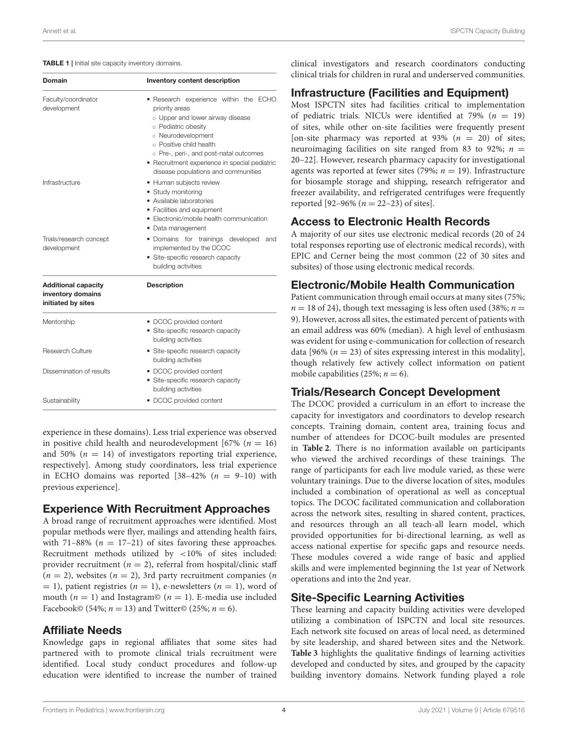#### <span id="page-5-0"></span>TABLE 1 | Initial site capacity inventory domains.

| Domain                                                                | Inventory content description                                                                                                                                                                                                                                                                         |  |  |  |
|-----------------------------------------------------------------------|-------------------------------------------------------------------------------------------------------------------------------------------------------------------------------------------------------------------------------------------------------------------------------------------------------|--|--|--|
| Faculty/coordinator<br>development                                    | • Research experience within the ECHO<br>priority areas<br>o Upper and lower airway disease<br>o Pediatric obesity<br>o Neurodevelopment<br>o Positive child health<br>o Pre-, peri-, and post-natal outcomes<br>· Recruitment experience in special pediatric<br>disease populations and communities |  |  |  |
| Infrastructure                                                        | • Human subjects review<br>• Study monitoring<br>• Available laboratories<br>• Facilities and equipment<br>• Electronic/mobile health communication<br>· Data management                                                                                                                              |  |  |  |
| Trials/research concept<br>development                                | • Domains for trainings developed<br>and<br>implemented by the DCOC<br>• Site-specific research capacity<br>building activities                                                                                                                                                                       |  |  |  |
| <b>Additional capacity</b><br>inventory domains<br>initiated by sites | <b>Description</b>                                                                                                                                                                                                                                                                                    |  |  |  |
| Mentorship                                                            | • DCOC provided content<br>• Site-specific research capacity<br>building activities                                                                                                                                                                                                                   |  |  |  |
| Research Culture                                                      | • Site-specific research capacity<br>building activities                                                                                                                                                                                                                                              |  |  |  |
| Dissemination of results                                              | • DCOC provided content<br>• Site-specific research capacity<br>building activities                                                                                                                                                                                                                   |  |  |  |
| Sustainability                                                        | • DCOC provided content                                                                                                                                                                                                                                                                               |  |  |  |

experience in these domains). Less trial experience was observed in positive child health and neurodevelopment [67% ( $n = 16$ ) and 50% ( $n = 14$ ) of investigators reporting trial experience, respectively]. Among study coordinators, less trial experience in ECHO domains was reported  $[38-42\% (n = 9-10)$  with previous experience].

### Experience With Recruitment Approaches

A broad range of recruitment approaches were identified. Most popular methods were flyer, mailings and attending health fairs, with 71–88% ( $n = 17-21$ ) of sites favoring these approaches. Recruitment methods utilized by <10% of sites included: provider recruitment ( $n = 2$ ), referral from hospital/clinic staff  $(n = 2)$ , websites  $(n = 2)$ , 3rd party recruitment companies  $(n = 1)$  $= 1$ ), patient registries (*n* = 1), e-newsletters (*n* = 1), word of mouth ( $n = 1$ ) and Instagram© ( $n = 1$ ). E-media use included Facebook© (54%;  $n = 13$ ) and Twitter© (25%;  $n = 6$ ).

### Affiliate Needs

Knowledge gaps in regional affiliates that some sites had partnered with to promote clinical trials recruitment were identified. Local study conduct procedures and follow-up education were identified to increase the number of trained clinical investigators and research coordinators conducting clinical trials for children in rural and underserved communities.

#### Infrastructure (Facilities and Equipment)

Most ISPCTN sites had facilities critical to implementation of pediatric trials. NICUs were identified at 79% ( $n = 19$ ) of sites, while other on-site facilities were frequently present [on-site pharmacy was reported at 93%  $(n = 20)$  of sites; neuroimaging facilities on site ranged from 83 to 92%;  $n =$ 20–22]. However, research pharmacy capacity for investigational agents was reported at fewer sites (79%;  $n = 19$ ). Infrastructure for biosample storage and shipping, research refrigerator and freezer availability, and refrigerated centrifuges were frequently reported [92–96% ( $n = 22-23$ ) of sites].

### Access to Electronic Health Records

A majority of our sites use electronic medical records (20 of 24 total responses reporting use of electronic medical records), with EPIC and Cerner being the most common (22 of 30 sites and subsites) of those using electronic medical records.

## Electronic/Mobile Health Communication

Patient communication through email occurs at many sites (75%;  $n = 18$  of 24), though text messaging is less often used (38%;  $n =$ 9). However, across all sites, the estimated percent of patients with an email address was 60% (median). A high level of enthusiasm was evident for using e-communication for collection of research data [96%  $(n = 23)$  of sites expressing interest in this modality], though relatively few actively collect information on patient mobile capabilities (25%;  $n = 6$ ).

### Trials/Research Concept Development

The DCOC provided a curriculum in an effort to increase the capacity for investigators and coordinators to develop research concepts. Training domain, content area, training focus and number of attendees for DCOC-built modules are presented in **[Table 2](#page-6-0)**. There is no information available on participants who viewed the archived recordings of these trainings. The range of participants for each live module varied, as these were voluntary trainings. Due to the diverse location of sites, modules included a combination of operational as well as conceptual topics. The DCOC facilitated communication and collaboration across the network sites, resulting in shared content, practices, and resources through an all teach-all learn model, which provided opportunities for bi-directional learning, as well as access national expertise for specific gaps and resource needs. These modules covered a wide range of basic and applied skills and were implemented beginning the 1st year of Network operations and into the 2nd year.

# Site-Specific Learning Activities

These learning and capacity building activities were developed utilizing a combination of ISPCTN and local site resources. Each network site focused on areas of local need, as determined by site leadership, and shared between sites and the Network. **[Table 3](#page-7-0)** highlights the qualitative findings of learning activities developed and conducted by sites, and grouped by the capacity building inventory domains. Network funding played a role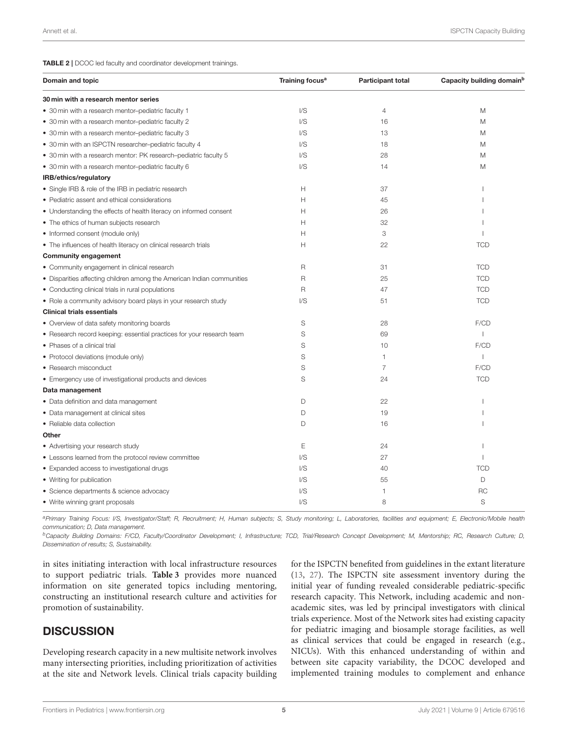<span id="page-6-0"></span>

| Domain and topic                                                       | Training focus <sup>a</sup> | <b>Participant total</b> | Capacity building domain <sup>b</sup> |
|------------------------------------------------------------------------|-----------------------------|--------------------------|---------------------------------------|
| 30 min with a research mentor series                                   |                             |                          |                                       |
| • 30 min with a research mentor-pediatric faculty 1                    | $\mathsf{U}\mathsf{S}$      | $\overline{4}$           | M                                     |
| • 30 min with a research mentor-pediatric faculty 2                    | $\mathsf{U}\mathsf{S}$      | 16                       | M                                     |
| • 30 min with a research mentor-pediatric faculty 3                    | $\mathsf{U}\mathsf{S}$      | 13                       | M                                     |
| • 30 min with an ISPCTN researcher-pediatric faculty 4                 | I/S                         | 18                       | M                                     |
| • 30 min with a research mentor: PK research-pediatric faculty 5       | I/S                         | 28                       | M                                     |
| • 30 min with a research mentor-pediatric faculty 6                    | $\mathsf{I/S}\xspace$       | 14                       | M                                     |
| IRB/ethics/regulatory                                                  |                             |                          |                                       |
| • Single IRB & role of the IRB in pediatric research                   | Н                           | 37                       |                                       |
| • Pediatric assent and ethical considerations                          | Н                           | 45                       |                                       |
| • Understanding the effects of health literacy on informed consent     | Н                           | 26                       |                                       |
| • The ethics of human subjects research                                | н                           | 32                       |                                       |
| • Informed consent (module only)                                       | Н                           | 3                        | т.                                    |
| • The influences of health literacy on clinical research trials        | Н                           | 22                       | <b>TCD</b>                            |
| <b>Community engagement</b>                                            |                             |                          |                                       |
| • Community engagement in clinical research                            | $\mathsf R$                 | 31                       | <b>TCD</b>                            |
| • Disparities affecting children among the American Indian communities | $\mathsf{R}$                | 25                       | <b>TCD</b>                            |
| • Conducting clinical trials in rural populations                      | $\mathsf R$                 | 47                       | <b>TCD</b>                            |
| . Role a community advisory board plays in your research study         | I/S                         | 51                       | <b>TCD</b>                            |
| <b>Clinical trials essentials</b>                                      |                             |                          |                                       |
| • Overview of data safety monitoring boards                            | S                           | 28                       | F/CD                                  |
| • Research record keeping: essential practices for your research team  | S                           | 69                       | $\mathbf{I}$                          |
| • Phases of a clinical trial                                           | S                           | 10                       | F/CD                                  |
| • Protocol deviations (module only)                                    | S                           | 1                        | $\mathbf{I}$                          |
| • Research misconduct                                                  | S                           | 7                        | F/CD                                  |
| • Emergency use of investigational products and devices                | S                           | 24                       | <b>TCD</b>                            |
| Data management                                                        |                             |                          |                                       |
| • Data definition and data management                                  | D                           | 22                       |                                       |
| • Data management at clinical sites                                    | D                           | 19                       | ı                                     |
| • Reliable data collection                                             | D                           | 16                       |                                       |
| Other                                                                  |                             |                          |                                       |
| • Advertising your research study                                      | Ε                           | 24                       | I                                     |
| • Lessons learned from the protocol review committee                   | I/S                         | 27                       |                                       |
| • Expanded access to investigational drugs                             | I/S                         | 40                       | <b>TCD</b>                            |
| • Writing for publication                                              | $\mathsf{U}\mathsf{S}$      | 55                       | D                                     |
| • Science departments & science advocacy                               | I/S                         | 1                        | <b>RC</b>                             |
| • Write winning grant proposals                                        | I/S                         | 8                        | S                                     |

a Primary Training Focus: I/S, Investigator/Staff; R, Recruitment; H, Human subjects; S, Study monitoring; L, Laboratories, facilities and equipment; E, Electronic/Mobile health communication; D, Data management.

<sup>b</sup>Capacity Building Domains: F/CD, Faculty/Coordinator Development; I, Infrastructure; TCD, Trial/Research Concept Development; M, Mentorship; RC, Research Culture; D, Dissemination of results; S, Sustainability.

in sites initiating interaction with local infrastructure resources to support pediatric trials. **[Table 3](#page-7-0)** provides more nuanced information on site generated topics including mentoring, constructing an institutional research culture and activities for promotion of sustainability.

# **DISCUSSION**

Developing research capacity in a new multisite network involves many intersecting priorities, including prioritization of activities at the site and Network levels. Clinical trials capacity building for the ISPCTN benefited from guidelines in the extant literature [\(13,](#page-10-12) [27\)](#page-10-21). The ISPCTN site assessment inventory during the initial year of funding revealed considerable pediatric-specific research capacity. This Network, including academic and nonacademic sites, was led by principal investigators with clinical trials experience. Most of the Network sites had existing capacity for pediatric imaging and biosample storage facilities, as well as clinical services that could be engaged in research (e.g., NICUs). With this enhanced understanding of within and between site capacity variability, the DCOC developed and implemented training modules to complement and enhance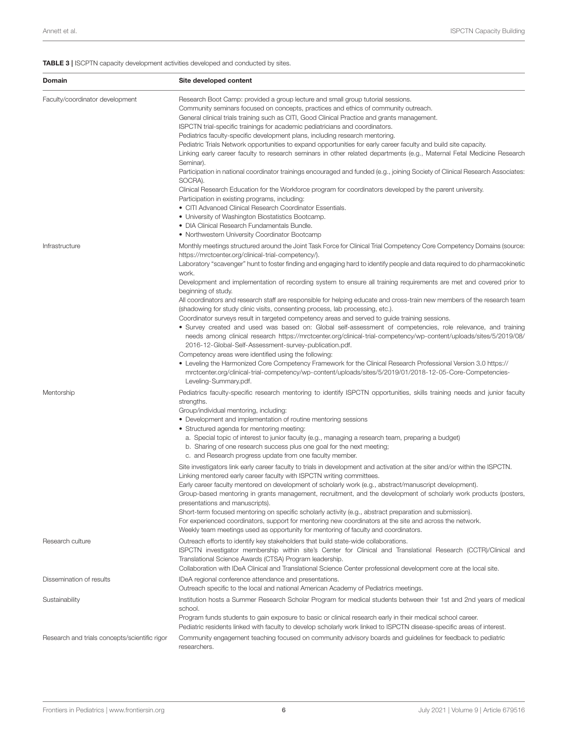## <span id="page-7-0"></span>TABLE 3 | ISCPTN capacity development activities developed and conducted by sites.

| <b>Domain</b>                                 | Site developed content                                                                                                                                                                                                                                                                                                                                                                                                                                                                                                                                                                                                                                                                                                                                                                                                                                                                                                                                                                                                                                                                                                                                                                                                                            |
|-----------------------------------------------|---------------------------------------------------------------------------------------------------------------------------------------------------------------------------------------------------------------------------------------------------------------------------------------------------------------------------------------------------------------------------------------------------------------------------------------------------------------------------------------------------------------------------------------------------------------------------------------------------------------------------------------------------------------------------------------------------------------------------------------------------------------------------------------------------------------------------------------------------------------------------------------------------------------------------------------------------------------------------------------------------------------------------------------------------------------------------------------------------------------------------------------------------------------------------------------------------------------------------------------------------|
| Faculty/coordinator development               | Research Boot Camp: provided a group lecture and small group tutorial sessions.<br>Community seminars focused on concepts, practices and ethics of community outreach.<br>General clinical trials training such as CITI, Good Clinical Practice and grants management.<br>ISPCTN trial-specific trainings for academic pediatricians and coordinators.<br>Pediatrics faculty-specific development plans, including research mentoring.<br>Pediatric Trials Network opportunities to expand opportunities for early career faculty and build site capacity.<br>Linking early career faculty to research seminars in other related departments (e.g., Maternal Fetal Medicine Research<br>Seminar).<br>Participation in national coordinator trainings encouraged and funded (e.g., joining Society of Clinical Research Associates:<br>SOCRA).<br>Clinical Research Education for the Workforce program for coordinators developed by the parent university.<br>Participation in existing programs, including:<br>• CITI Advanced Clinical Research Coordinator Essentials.<br>• University of Washington Biostatistics Bootcamp.<br>• DIA Clinical Research Fundamentals Bundle.                                                                  |
| Infrastructure                                | • Northwestern University Coordinator Bootcamp<br>Monthly meetings structured around the Joint Task Force for Clinical Trial Competency Core Competency Domains (source:<br>https://mrctcenter.org/clinical-trial-competency/).<br>Laboratory "scavenger" hunt to foster finding and engaging hard to identify people and data required to do pharmacokinetic<br>work.<br>Development and implementation of recording system to ensure all training requirements are met and covered prior to<br>beginning of study.                                                                                                                                                                                                                                                                                                                                                                                                                                                                                                                                                                                                                                                                                                                              |
|                                               | All coordinators and research staff are responsible for helping educate and cross-train new members of the research team<br>(shadowing for study clinic visits, consenting process, lab processing, etc.).<br>Coordinator surveys result in targeted competency areas and served to guide training sessions.<br>• Survey created and used was based on: Global self-assessment of competencies, role relevance, and training<br>needs among clinical research https://mrctcenter.org/clinical-trial-competency/wp-content/uploads/sites/5/2019/08/<br>2016-12-Global-Self-Assessment-survey-publication.pdf.<br>Competency areas were identified using the following:<br>• Leveling the Harmonized Core Competency Framework for the Clinical Research Professional Version 3.0 https://<br>mrctcenter.org/clinical-trial-competency/wp-content/uploads/sites/5/2019/01/2018-12-05-Core-Competencies-<br>Leveling-Summary.pdf.                                                                                                                                                                                                                                                                                                                    |
| Mentorship                                    | Pediatrics faculty-specific research mentoring to identify ISPCTN opportunities, skills training needs and junior faculty<br>strengths.<br>Group/individual mentoring, including:<br>• Development and implementation of routine mentoring sessions<br>• Structured agenda for mentoring meeting:<br>a. Special topic of interest to junior faculty (e.g., managing a research team, preparing a budget)<br>b. Sharing of one research success plus one goal for the next meeting;<br>c. and Research progress update from one faculty member.<br>Site investigators link early career faculty to trials in development and activation at the siter and/or within the ISPCTN.<br>Linking mentored early career faculty with ISPCTN writing committees.<br>Early career faculty mentored on development of scholarly work (e.g., abstract/manuscript development).<br>Group-based mentoring in grants management, recruitment, and the development of scholarly work products (posters,<br>presentations and manuscripts).<br>Short-term focused mentoring on specific scholarly activity (e.g., abstract preparation and submission).<br>For experienced coordinators, support for mentoring new coordinators at the site and across the network. |
| Research culture                              | Weekly team meetings used as opportunity for mentoring of faculty and coordinators.<br>Outreach efforts to identify key stakeholders that build state-wide collaborations.<br>ISPCTN investigator membership within site's Center for Clinical and Translational Research (CCTR)/Clinical and<br>Translational Science Awards (CTSA) Program leadership.<br>Collaboration with IDeA Clinical and Translational Science Center professional development core at the local site.                                                                                                                                                                                                                                                                                                                                                                                                                                                                                                                                                                                                                                                                                                                                                                    |
| Dissemination of results                      | IDeA regional conference attendance and presentations.<br>Outreach specific to the local and national American Academy of Pediatrics meetings.                                                                                                                                                                                                                                                                                                                                                                                                                                                                                                                                                                                                                                                                                                                                                                                                                                                                                                                                                                                                                                                                                                    |
| Sustainability                                | Institution hosts a Summer Research Scholar Program for medical students between their 1st and 2nd years of medical<br>school.<br>Program funds students to gain exposure to basic or clinical research early in their medical school career.<br>Pediatric residents linked with faculty to develop scholarly work linked to ISPCTN disease-specific areas of interest.                                                                                                                                                                                                                                                                                                                                                                                                                                                                                                                                                                                                                                                                                                                                                                                                                                                                           |
| Research and trials concepts/scientific rigor | Community engagement teaching focused on community advisory boards and guidelines for feedback to pediatric<br>researchers.                                                                                                                                                                                                                                                                                                                                                                                                                                                                                                                                                                                                                                                                                                                                                                                                                                                                                                                                                                                                                                                                                                                       |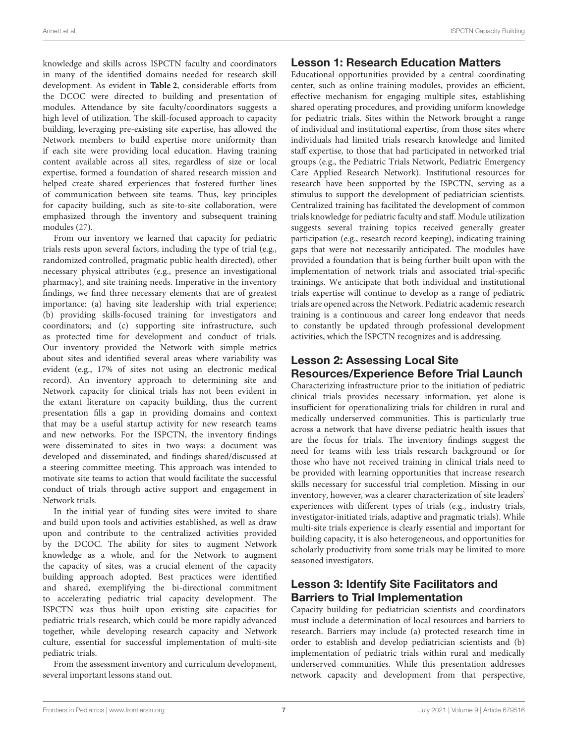knowledge and skills across ISPCTN faculty and coordinators in many of the identified domains needed for research skill development. As evident in **[Table 2](#page-6-0)**, considerable efforts from the DCOC were directed to building and presentation of modules. Attendance by site faculty/coordinators suggests a high level of utilization. The skill-focused approach to capacity building, leveraging pre-existing site expertise, has allowed the Network members to build expertise more uniformity than if each site were providing local education. Having training content available across all sites, regardless of size or local expertise, formed a foundation of shared research mission and helped create shared experiences that fostered further lines of communication between site teams. Thus, key principles for capacity building, such as site-to-site collaboration, were emphasized through the inventory and subsequent training modules [\(27\)](#page-10-21).

From our inventory we learned that capacity for pediatric trials rests upon several factors, including the type of trial (e.g., randomized controlled, pragmatic public health directed), other necessary physical attributes (e.g., presence an investigational pharmacy), and site training needs. Imperative in the inventory findings, we find three necessary elements that are of greatest importance: (a) having site leadership with trial experience; (b) providing skills-focused training for investigators and coordinators; and (c) supporting site infrastructure, such as protected time for development and conduct of trials. Our inventory provided the Network with simple metrics about sites and identified several areas where variability was evident (e.g., 17% of sites not using an electronic medical record). An inventory approach to determining site and Network capacity for clinical trials has not been evident in the extant literature on capacity building, thus the current presentation fills a gap in providing domains and context that may be a useful startup activity for new research teams and new networks. For the ISPCTN, the inventory findings were disseminated to sites in two ways: a document was developed and disseminated, and findings shared/discussed at a steering committee meeting. This approach was intended to motivate site teams to action that would facilitate the successful conduct of trials through active support and engagement in Network trials.

In the initial year of funding sites were invited to share and build upon tools and activities established, as well as draw upon and contribute to the centralized activities provided by the DCOC. The ability for sites to augment Network knowledge as a whole, and for the Network to augment the capacity of sites, was a crucial element of the capacity building approach adopted. Best practices were identified and shared, exemplifying the bi-directional commitment to accelerating pediatric trial capacity development. The ISPCTN was thus built upon existing site capacities for pediatric trials research, which could be more rapidly advanced together, while developing research capacity and Network culture, essential for successful implementation of multi-site pediatric trials.

From the assessment inventory and curriculum development, several important lessons stand out.

## Lesson 1: Research Education Matters

Educational opportunities provided by a central coordinating center, such as online training modules, provides an efficient, effective mechanism for engaging multiple sites, establishing shared operating procedures, and providing uniform knowledge for pediatric trials. Sites within the Network brought a range of individual and institutional expertise, from those sites where individuals had limited trials research knowledge and limited staff expertise, to those that had participated in networked trial groups (e.g., the Pediatric Trials Network, Pediatric Emergency Care Applied Research Network). Institutional resources for research have been supported by the ISPCTN, serving as a stimulus to support the development of pediatrician scientists. Centralized training has facilitated the development of common trials knowledge for pediatric faculty and staff. Module utilization suggests several training topics received generally greater participation (e.g., research record keeping), indicating training gaps that were not necessarily anticipated. The modules have provided a foundation that is being further built upon with the implementation of network trials and associated trial-specific trainings. We anticipate that both individual and institutional trials expertise will continue to develop as a range of pediatric trials are opened across the Network. Pediatric academic research training is a continuous and career long endeavor that needs to constantly be updated through professional development activities, which the ISPCTN recognizes and is addressing.

# Lesson 2: Assessing Local Site Resources/Experience Before Trial Launch

Characterizing infrastructure prior to the initiation of pediatric clinical trials provides necessary information, yet alone is insufficient for operationalizing trials for children in rural and medically underserved communities. This is particularly true across a network that have diverse pediatric health issues that are the focus for trials. The inventory findings suggest the need for teams with less trials research background or for those who have not received training in clinical trials need to be provided with learning opportunities that increase research skills necessary for successful trial completion. Missing in our inventory, however, was a clearer characterization of site leaders' experiences with different types of trials (e.g., industry trials, investigator-initiated trials, adaptive and pragmatic trials). While multi-site trials experience is clearly essential and important for building capacity, it is also heterogeneous, and opportunities for scholarly productivity from some trials may be limited to more seasoned investigators.

# Lesson 3: Identify Site Facilitators and Barriers to Trial Implementation

Capacity building for pediatrician scientists and coordinators must include a determination of local resources and barriers to research. Barriers may include (a) protected research time in order to establish and develop pediatrician scientists and (b) implementation of pediatric trials within rural and medically underserved communities. While this presentation addresses network capacity and development from that perspective,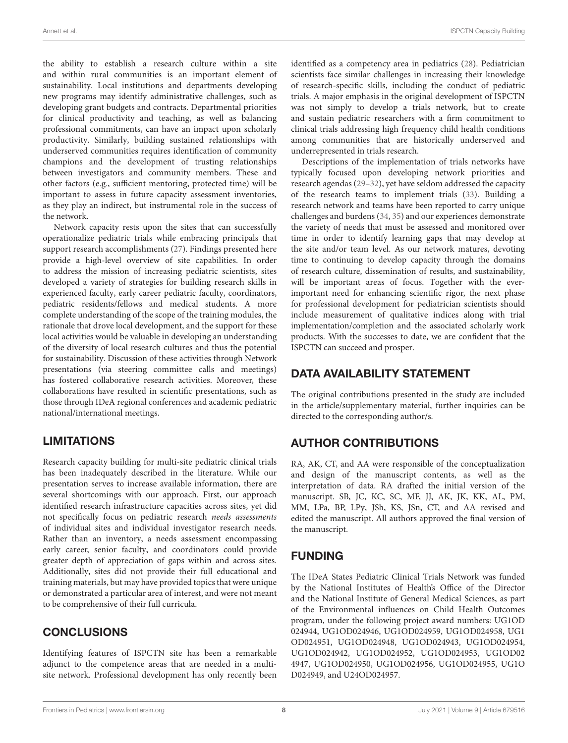the ability to establish a research culture within a site and within rural communities is an important element of sustainability. Local institutions and departments developing new programs may identify administrative challenges, such as developing grant budgets and contracts. Departmental priorities for clinical productivity and teaching, as well as balancing professional commitments, can have an impact upon scholarly productivity. Similarly, building sustained relationships with underserved communities requires identification of community champions and the development of trusting relationships between investigators and community members. These and other factors (e.g., sufficient mentoring, protected time) will be important to assess in future capacity assessment inventories, as they play an indirect, but instrumental role in the success of the network.

Network capacity rests upon the sites that can successfully operationalize pediatric trials while embracing principals that support research accomplishments [\(27\)](#page-10-21). Findings presented here provide a high-level overview of site capabilities. In order to address the mission of increasing pediatric scientists, sites developed a variety of strategies for building research skills in experienced faculty, early career pediatric faculty, coordinators, pediatric residents/fellows and medical students. A more complete understanding of the scope of the training modules, the rationale that drove local development, and the support for these local activities would be valuable in developing an understanding of the diversity of local research cultures and thus the potential for sustainability. Discussion of these activities through Network presentations (via steering committee calls and meetings) has fostered collaborative research activities. Moreover, these collaborations have resulted in scientific presentations, such as those through IDeA regional conferences and academic pediatric national/international meetings.

# LIMITATIONS

Research capacity building for multi-site pediatric clinical trials has been inadequately described in the literature. While our presentation serves to increase available information, there are several shortcomings with our approach. First, our approach identified research infrastructure capacities across sites, yet did not specifically focus on pediatric research needs assessments of individual sites and individual investigator research needs. Rather than an inventory, a needs assessment encompassing early career, senior faculty, and coordinators could provide greater depth of appreciation of gaps within and across sites. Additionally, sites did not provide their full educational and training materials, but may have provided topics that were unique or demonstrated a particular area of interest, and were not meant to be comprehensive of their full curricula.

# **CONCLUSIONS**

Identifying features of ISPCTN site has been a remarkable adjunct to the competence areas that are needed in a multisite network. Professional development has only recently been identified as a competency area in pediatrics [\(28\)](#page-10-22). Pediatrician scientists face similar challenges in increasing their knowledge of research-specific skills, including the conduct of pediatric trials. A major emphasis in the original development of ISPCTN was not simply to develop a trials network, but to create and sustain pediatric researchers with a firm commitment to clinical trials addressing high frequency child health conditions among communities that are historically underserved and underrepresented in trials research.

Descriptions of the implementation of trials networks have typically focused upon developing network priorities and research agendas [\(29](#page-10-23)[–32\)](#page-10-24), yet have seldom addressed the capacity of the research teams to implement trials [\(33\)](#page-10-25). Building a research network and teams have been reported to carry unique challenges and burdens [\(34,](#page-10-26) [35\)](#page-11-0) and our experiences demonstrate the variety of needs that must be assessed and monitored over time in order to identify learning gaps that may develop at the site and/or team level. As our network matures, devoting time to continuing to develop capacity through the domains of research culture, dissemination of results, and sustainability, will be important areas of focus. Together with the everimportant need for enhancing scientific rigor, the next phase for professional development for pediatrician scientists should include measurement of qualitative indices along with trial implementation/completion and the associated scholarly work products. With the successes to date, we are confident that the ISPCTN can succeed and prosper.

# DATA AVAILABILITY STATEMENT

The original contributions presented in the study are included in the article/supplementary material, further inquiries can be directed to the corresponding author/s.

# AUTHOR CONTRIBUTIONS

RA, AK, CT, and AA were responsible of the conceptualization and design of the manuscript contents, as well as the interpretation of data. RA drafted the initial version of the manuscript. SB, JC, KC, SC, MF, JJ, AK, JK, KK, AL, PM, MM, LPa, BP, LPy, JSh, KS, JSn, CT, and AA revised and edited the manuscript. All authors approved the final version of the manuscript.

# FUNDING

The IDeA States Pediatric Clinical Trials Network was funded by the National Institutes of Health's Office of the Director and the National Institute of General Medical Sciences, as part of the Environmental influences on Child Health Outcomes program, under the following project award numbers: UG1OD 024944, UG1OD024946, UG1OD024959, UG1OD024958, UG1 OD024951, UG1OD024948, UG1OD024943, UG1OD024954, UG1OD024942, UG1OD024952, UG1OD024953, UG1OD02 4947, UG1OD024950, UG1OD024956, UG1OD024955, UG1O D024949, and U24OD024957.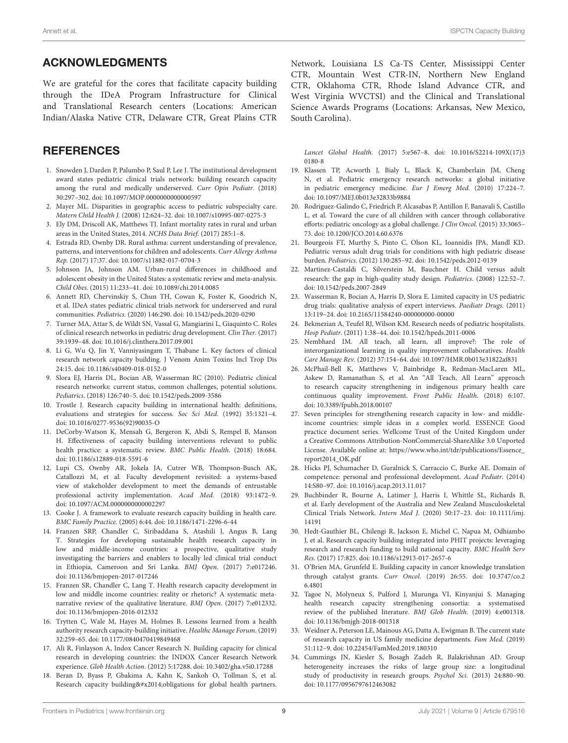# ACKNOWLEDGMENTS

We are grateful for the cores that facilitate capacity building through the IDeA Program Infrastructure for Clinical and Translational Research centers (Locations: American Indian/Alaska Native CTR, Delaware CTR, Great Plains CTR

# **REFERENCES**

- <span id="page-10-0"></span>1. Snowden J, Darden P, Palumbo P, Saul P, Lee J. The institutional development award states pediatric clinical trials network: building research capacity among the rural and medically underserved. Curr Opin Pediatr. (2018) 30:297–302. doi: [10.1097/MOP.0000000000000597](https://doi.org/10.1097/MOP.0000000000000597)
- <span id="page-10-1"></span>2. Mayer ML. Disparities in geographic access to pediatric subspecialty care. Matern Child Health J. (2008) 12:624–32. doi: [10.1007/s10995-007-0275-3](https://doi.org/10.1007/s10995-007-0275-3)
- <span id="page-10-2"></span>3. Ely DM, Driscoll AK, Matthews TJ. Infant mortality rates in rural and urban areas in the United States, 2014. NCHS Data Brief. (2017) 285:1–8.
- <span id="page-10-3"></span>4. Estrada RD, Ownby DR. Rural asthma: current understanding of prevalence, patterns, and interventions for children and adolescents. Curr Allergy Asthma Rep. (2017) 17:37. doi: [10.1007/s11882-017-0704-3](https://doi.org/10.1007/s11882-017-0704-3)
- <span id="page-10-4"></span>5. Johnson JA, Johnson AM. Urban-rural differences in childhood and adolescent obesity in the United States: a systematic review and meta-analysis. Child Obes. (2015) 11:233–41. doi: [10.1089/chi.2014.0085](https://doi.org/10.1089/chi.2014.0085)
- <span id="page-10-5"></span>6. Annett RD, Chervinskiy S, Chun TH, Cowan K, Foster K, Goodrich N, et al. IDeA states pediatric clinical trials network for underserved and rural communities. Pediatrics. (2020) 146:290. doi: [10.1542/peds.2020-0290](https://doi.org/10.1542/peds.2020-0290)
- <span id="page-10-6"></span>7. Turner MA, Attar S, de Wildt SN, Vassal G, Mangiarini L, Giaquinto C. Roles of clinical research networks in pediatric drug development. Clin Ther. (2017) 39:1939–48. doi: [10.1016/j.clinthera.2017.09.001](https://doi.org/10.1016/j.clinthera.2017.09.001)
- <span id="page-10-7"></span>8. Li G, Wu Q, Jin Y, Vanniyasingam T, Thabane L. Key factors of clinical research network capacity building. J Venom Anim Toxins Incl Trop Dis 24:15. doi: [10.1186/s40409-018-0152-0](https://doi.org/10.1186/s40409-018-0152-0)
- <span id="page-10-8"></span>9. Slora EJ, Harris DL, Bocian AB, Wasserman RC (2010). Pediatric clinical research networks: current status, common challenges, potential solutions. Pediatrics. (2018) 126:740–5. doi: [10.1542/peds.2009-3586](https://doi.org/10.1542/peds.2009-3586)
- <span id="page-10-9"></span>10. Trostle J. Research capacity building in international health: definitions, evaluations and strategies for success. Soc Sci Med. (1992) 35:1321–4. doi: [10.1016/0277-9536\(92\)90035-O](https://doi.org/10.1016/0277-9536(92)90035-O)
- <span id="page-10-10"></span>11. DeCorby-Watson K, Mensah G, Bergeron K, Abdi S, Rempel B, Manson H. Effectiveness of capacity building interventions relevant to public health practice: a systematic review. BMC Public Health. (2018) 18:684. doi: [10.1186/s12889-018-5591-6](https://doi.org/10.1186/s12889-018-5591-6)
- <span id="page-10-11"></span>12. Lupi CS, Ownby AR, Jokela JA, Cutrer WB, Thompson-Busch AK, Catallozzi M, et al. Faculty development revisited: a systems-based view of stakeholder development to meet the demands of entrustable professional activity implementation. Acad Med. (2018) 93:1472–9. doi: [10.1097/ACM.0000000000002297](https://doi.org/10.1097/ACM.0000000000002297)
- <span id="page-10-12"></span>13. Cooke J. A framework to evaluate research capacity building in health care. BMC Family Practice. (2005) 6:44. doi: [10.1186/1471-2296-6-44](https://doi.org/10.1186/1471-2296-6-44)
- <span id="page-10-14"></span>14. Franzen SRP, Chandler C, Siribaddana S, Atashili J, Angus B, Lang T. Strategies for developing sustainable health research capacity in low and middle-income countries: a prospective, qualitative study investigating the barriers and enablers to locally led clinical trial conduct in Ethiopia, Cameroon and Sri Lanka. BMJ Open. (2017) 7:e017246. doi: [10.1136/bmjopen-2017-017246](https://doi.org/10.1136/bmjopen-2017-017246)
- 15. Franzen SR, Chandler C, Lang T. Health research capacity development in low and middle income countries: reality or rhetoric? A systematic metanarrative review of the qualitative literature. BMJ Open. (2017) 7:e012332. doi: [10.1136/bmjopen-2016-012332](https://doi.org/10.1136/bmjopen-2016-012332)
- <span id="page-10-13"></span>16. Trytten C, Wale M, Hayes M, Holmes B. Lessons learned from a health authority research capacity-building initiative. Healthc Manage Forum. (2019) 32:259–65. doi: [10.1177/0840470419849468](https://doi.org/10.1177/0840470419849468)
- <span id="page-10-15"></span>17. Ali R, Finlayson A, Indox Cancer Research N. Building capacity for clinical research in developing countries: the INDOX Cancer Research Network experience. Glob Health Action. (2012) 5:17288. doi: [10.3402/gha.v5i0.17288](https://doi.org/10.3402/gha.v5i0.17288)
- 18. Beran D, Byass P, Gbakima A, Kahn K, Sankoh O, Tollman S, et al. Research capacity building—obligations for global health partners.

Network, Louisiana LS Ca-TS Center, Mississippi Center CTR, Mountain West CTR-IN, Northern New England CTR, Oklahoma CTR, Rhode Island Advance CTR, and West Virginia WVCTSI) and the Clinical and Translational Science Awards Programs (Locations: Arkansas, New Mexico, South Carolina).

Lancet Global Health[. \(2017\) 5:e567–8. doi: 10.1016/S2214-109X\(17\)3](https://doi.org/10.1016/S2214-109X(17)30180-8) 0180-8

- 19. Klassen TP, Acworth J, Bialy L, Black K, Chamberlain JM, Cheng N, et al. Pediatric emergency research networks: a global initiative in pediatric emergency medicine. Eur J Emerg Med. (2010) 17:224–7. doi: [10.1097/MEJ.0b013e32833b9884](https://doi.org/10.1097/MEJ.0b013e32833b9884)
- <span id="page-10-16"></span>20. Rodriguez-Galindo C, Friedrich P, Alcasabas P, Antillon F, Banavali S, Castillo L, et al. Toward the cure of all children with cancer through collaborative efforts: pediatric oncology as a global challenge. J Clin Oncol. (2015) 33:3065– 73. doi: [10.1200/JCO.2014.60.6376](https://doi.org/10.1200/JCO.2014.60.6376)
- <span id="page-10-17"></span>21. Bourgeois FT, Murthy S, Pinto C, Olson KL, Ioannidis JPA, Mandl KD. Pediatric versus adult drug trials for conditions with high pediatric disease burden. Pediatrics. (2012) 130:285–92. doi: [10.1542/peds.2012-0139](https://doi.org/10.1542/peds.2012-0139)
- 22. Martinez-Castaldi C, Silverstein M, Bauchner H. Child versus adult research: the gap in high-quality study design. Pediatrics. (2008) 122:52–7. doi: [10.1542/peds.2007-2849](https://doi.org/10.1542/peds.2007-2849)
- 23. Wasserman R, Bocian A, Harris D, Slora E. Limited capacity in US pediatric drug trials: qualitative analysis of expert interviews. Paediatr Drugs. (2011) 13:119–24. doi: [10.2165/11584240-000000000-00000](https://doi.org/10.2165/11584240-000000000-00000)
- <span id="page-10-18"></span>24. Bekmezian A, Teufel RJ, Wilson KM. Research needs of pediatric hospitalists. Hosp Pediatr. (2011) 1:38–44. doi: [10.1542/hpeds.2011-0006](https://doi.org/10.1542/hpeds.2011-0006)
- <span id="page-10-19"></span>25. Nembhard IM. All teach, all learn, all improve?: The role of interorganizational learning in quality improvement collaboratives. Health Care Manage Rev. (2012) 37:154–64. doi: [10.1097/HMR.0b013e31822af831](https://doi.org/10.1097/HMR.0b013e31822af831)
- <span id="page-10-20"></span>26. McPhail-Bell K, Matthews V, Bainbridge R, Redman-MacLaren ML, Askew D, Ramanathan S, et al. An "All Teach, All Learn" approach to research capacity strengthening in indigenous primary health care continuous quality improvement. Front Public Health. (2018) 6:107. doi: [10.3389/fpubh.2018.00107](https://doi.org/10.3389/fpubh.2018.00107)
- <span id="page-10-21"></span>27. Seven principles for strengthening research capacity in low- and middleincome countries: simple ideas in a complex world. ESSENCE Good practice document series. Wellcome Trust of the United Kingdom under a Creative Commons Attribution-NonCommercial-ShareAlike 3.0 Unported License. Available online at: [https://www.who.int/tdr/publications/Essence\\_](https://www.who.int/tdr/publications/Essence_report2014_OK.pdf) [report2014\\_OK.pdf](https://www.who.int/tdr/publications/Essence_report2014_OK.pdf)
- <span id="page-10-22"></span>28. Hicks PJ, Schumacher D, Guralnick S, Carraccio C, Burke AE. Domain of competence: personal and professional development. Acad Pediatr. (2014) 14:S80–97. doi: [10.1016/j.acap.2013.11.017](https://doi.org/10.1016/j.acap.2013.11.017)
- <span id="page-10-23"></span>29. Buchbinder R, Bourne A, Latimer J, Harris I, Whittle SL, Richards B, et al. Early development of the Australia and New Zealand Musculoskeletal Clinical Trials Network. Intern Med J[. \(2020\) 50:17–23. doi: 10.1111/imj.](https://doi.org/10.1111/imj.14191) 14191
- 30. Hedt-Gauthier BL, Chilengi R, Jackson E, Michel C, Napua M, Odhiambo J, et al. Research capacity building integrated into PHIT projects: leveraging research and research funding to build national capacity. BMC Health Serv Res. (2017) 17:825. doi: [10.1186/s12913-017-2657-6](https://doi.org/10.1186/s12913-017-2657-6)
- 31. O'Brien MA, Grunfeld E. Building capacity in cancer knowledge translation through catalyst grants. Curr Oncol[. \(2019\) 26:55. doi: 10.3747/co.2](https://doi.org/10.3747/co.26.4801) 6.4801
- <span id="page-10-24"></span>32. Tagoe N, Molyneux S, Pulford J, Murunga VI, Kinyanjui S. Managing health research capacity strengthening consortia: a systematised review of the published literature. BMJ Glob Health. (2019) 4:e001318. doi: [10.1136/bmjgh-2018-001318](https://doi.org/10.1136/bmjgh-2018-001318)
- <span id="page-10-25"></span>33. Weidner A, Peterson LE, Mainous AG, Datta A, Ewigman B. The current state of research capacity in US family medicine departments. Fam Med. (2019) 51:112–9. doi: [10.22454/FamMed.2019.180310](https://doi.org/10.22454/FamMed.2019.180310)
- <span id="page-10-26"></span>34. Cummings JN, Kiesler S, Bosagh Zadeh R, Balakrishnan AD. Group heterogeneity increases the risks of large group size: a longitudinal study of productivity in research groups. Psychol Sci. (2013) 24:880–90. doi: [10.1177/0956797612463082](https://doi.org/10.1177/0956797612463082)